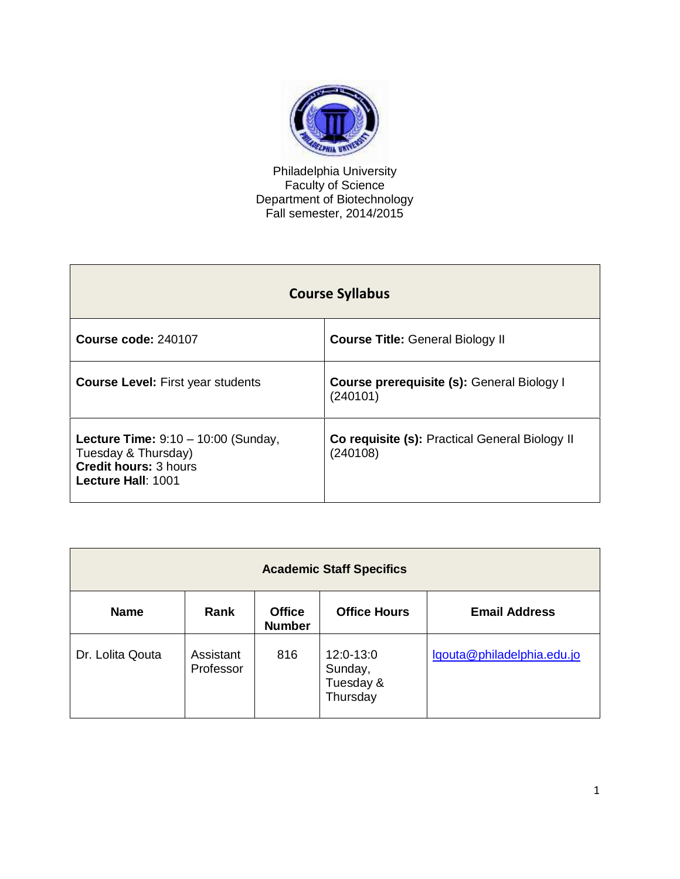

Philadelphia University Faculty of Science Department of Biotechnology Fall semester, 2014/2015

| <b>Course Syllabus</b>                                                                                             |                                                            |  |
|--------------------------------------------------------------------------------------------------------------------|------------------------------------------------------------|--|
| <b>Course code: 240107</b>                                                                                         | <b>Course Title: General Biology II</b>                    |  |
| <b>Course Level: First year students</b>                                                                           | Course prerequisite (s): General Biology I<br>(240101)     |  |
| Lecture Time: $9:10 - 10:00$ (Sunday,<br>Tuesday & Thursday)<br><b>Credit hours: 3 hours</b><br>Lecture Hall: 1001 | Co requisite (s): Practical General Biology II<br>(240108) |  |

| <b>Academic Staff Specifics</b> |                        |                                |                                               |                            |
|---------------------------------|------------------------|--------------------------------|-----------------------------------------------|----------------------------|
| <b>Name</b>                     | Rank                   | <b>Office</b><br><b>Number</b> | <b>Office Hours</b>                           | <b>Email Address</b>       |
| Dr. Lolita Qouta                | Assistant<br>Professor | 816                            | 12:0-13:0<br>Sunday,<br>Tuesday &<br>Thursday | lqouta@philadelphia.edu.jo |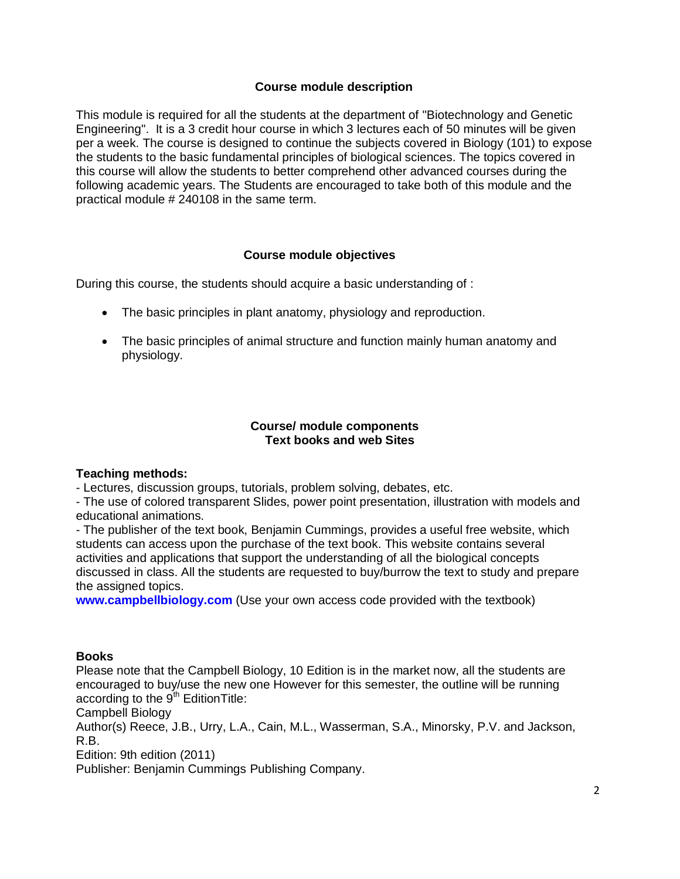# **Course module description**

This module is required for all the students at the department of "Biotechnology and Genetic Engineering". It is a 3 credit hour course in which 3 lectures each of 50 minutes will be given per a week. The course is designed to continue the subjects covered in Biology (101) to expose the students to the basic fundamental principles of biological sciences. The topics covered in this course will allow the students to better comprehend other advanced courses during the following academic years. The Students are encouraged to take both of this module and the practical module # 240108 in the same term.

# **Course module objectives**

During this course, the students should acquire a basic understanding of :

- The basic principles in plant anatomy, physiology and reproduction.
- The basic principles of animal structure and function mainly human anatomy and physiology.

# **Course/ module components Text books and web Sites**

# **Teaching methods:**

- Lectures, discussion groups, tutorials, problem solving, debates, etc.

- The use of colored transparent Slides, power point presentation, illustration with models and educational animations.

- The publisher of the text book, Benjamin Cummings, provides a useful free website, which students can access upon the purchase of the text book. This website contains several activities and applications that support the understanding of all the biological concepts discussed in class. All the students are requested to buy/burrow the text to study and prepare the assigned topics.

**www.campbellbiology.com** (Use your own access code provided with the textbook)

# **Books**

Please note that the Campbell Biology, 10 Edition is in the market now, all the students are encouraged to buy/use the new one However for this semester, the outline will be running according to the  $9<sup>th</sup>$  Edition Title:

Campbell Biology

Author(s) Reece, J.B., Urry, L.A., Cain, M.L., Wasserman, S.A., Minorsky, P.V. and Jackson, R.B.

Edition: 9th edition (2011)

Publisher: Benjamin Cummings Publishing Company.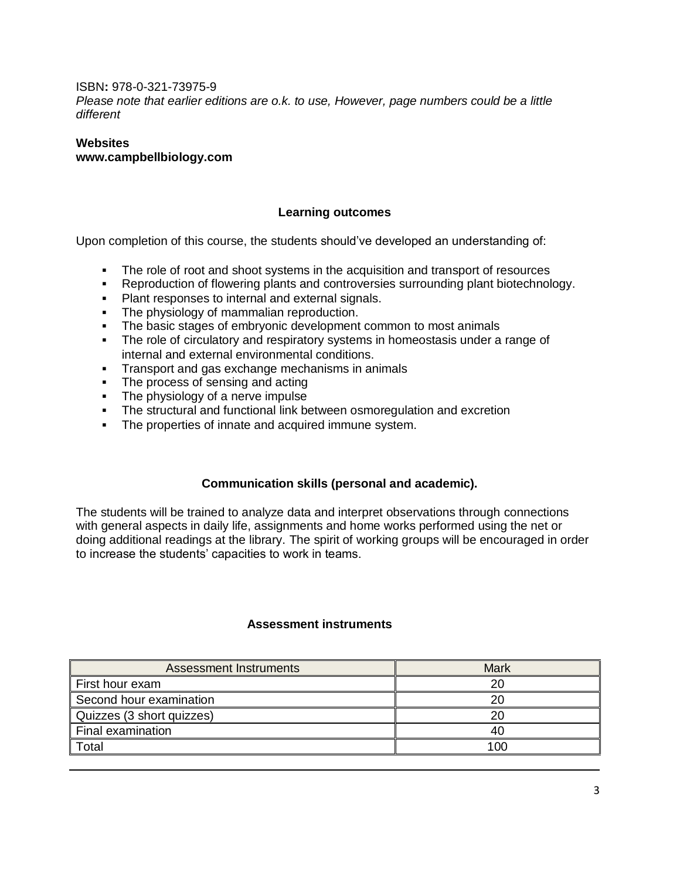### ISBN**:** 978-0-321-73975-9

*Please note that earlier editions are o.k. to use, However, page numbers could be a little different*

# **Websites www.campbellbiology.com**

# **Learning outcomes**

Upon completion of this course, the students should've developed an understanding of:

- The role of root and shoot systems in the acquisition and transport of resources
- Reproduction of flowering plants and controversies surrounding plant biotechnology.
- **Plant responses to internal and external signals.**
- The physiology of mammalian reproduction.
- The basic stages of embryonic development common to most animals
- The role of circulatory and respiratory systems in homeostasis under a range of internal and external environmental conditions.
- **Transport and gas exchange mechanisms in animals**
- The process of sensing and acting
- The physiology of a nerve impulse
- The structural and functional link between osmoregulation and excretion
- **The properties of innate and acquired immune system.**

# **Communication skills (personal and academic).**

The students will be trained to analyze data and interpret observations through connections with general aspects in daily life, assignments and home works performed using the net or doing additional readings at the library. The spirit of working groups will be encouraged in order to increase the students' capacities to work in teams.

#### **Assessment instruments**

| Assessment Instruments    | Mark |
|---------------------------|------|
| First hour exam           | 20   |
| Second hour examination   | 20   |
| Quizzes (3 short quizzes) |      |
| Final examination         | 40   |
| Total                     | 100  |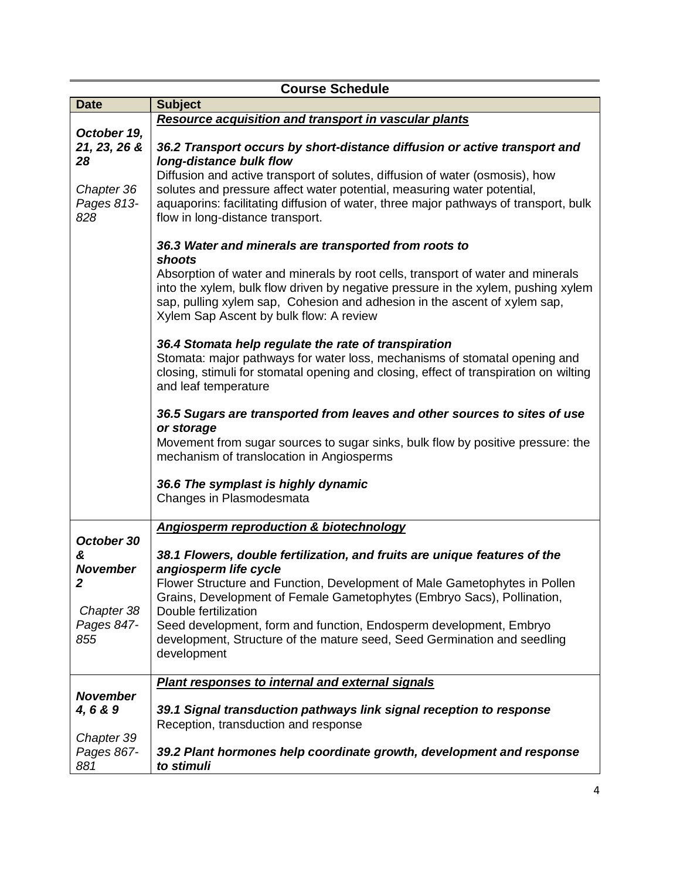| <b>Course Schedule</b>                                                     |                                                                                                                                                                                                                                                                                                                                                                                                                                                                                                                                                                                                                        |  |
|----------------------------------------------------------------------------|------------------------------------------------------------------------------------------------------------------------------------------------------------------------------------------------------------------------------------------------------------------------------------------------------------------------------------------------------------------------------------------------------------------------------------------------------------------------------------------------------------------------------------------------------------------------------------------------------------------------|--|
| <b>Date</b>                                                                | <b>Subject</b>                                                                                                                                                                                                                                                                                                                                                                                                                                                                                                                                                                                                         |  |
|                                                                            | <b>Resource acquisition and transport in vascular plants</b>                                                                                                                                                                                                                                                                                                                                                                                                                                                                                                                                                           |  |
| October 19,<br>21, 23, 26 &<br>28<br>Chapter 36<br>Pages 813-<br>828       | 36.2 Transport occurs by short-distance diffusion or active transport and<br>long-distance bulk flow<br>Diffusion and active transport of solutes, diffusion of water (osmosis), how<br>solutes and pressure affect water potential, measuring water potential,<br>aquaporins: facilitating diffusion of water, three major pathways of transport, bulk<br>flow in long-distance transport.                                                                                                                                                                                                                            |  |
|                                                                            | 36.3 Water and minerals are transported from roots to<br>shoots<br>Absorption of water and minerals by root cells, transport of water and minerals<br>into the xylem, bulk flow driven by negative pressure in the xylem, pushing xylem<br>sap, pulling xylem sap, Cohesion and adhesion in the ascent of xylem sap,<br>Xylem Sap Ascent by bulk flow: A review<br>36.4 Stomata help regulate the rate of transpiration<br>Stomata: major pathways for water loss, mechanisms of stomatal opening and<br>closing, stimuli for stomatal opening and closing, effect of transpiration on wilting<br>and leaf temperature |  |
|                                                                            | 36.5 Sugars are transported from leaves and other sources to sites of use<br>or storage<br>Movement from sugar sources to sugar sinks, bulk flow by positive pressure: the<br>mechanism of translocation in Angiosperms<br>36.6 The symplast is highly dynamic<br>Changes in Plasmodesmata                                                                                                                                                                                                                                                                                                                             |  |
|                                                                            | <b>Angiosperm reproduction &amp; biotechnology</b>                                                                                                                                                                                                                                                                                                                                                                                                                                                                                                                                                                     |  |
| October 30<br>&<br><b>November</b><br>2<br>Chapter 38<br>Pages 847-<br>855 | 38.1 Flowers, double fertilization, and fruits are unique features of the<br>angiosperm life cycle<br>Flower Structure and Function, Development of Male Gametophytes in Pollen<br>Grains, Development of Female Gametophytes (Embryo Sacs), Pollination,<br>Double fertilization<br>Seed development, form and function, Endosperm development, Embryo<br>development, Structure of the mature seed, Seed Germination and seedling<br>development                                                                                                                                                                     |  |
|                                                                            | <b>Plant responses to internal and external signals</b>                                                                                                                                                                                                                                                                                                                                                                                                                                                                                                                                                                |  |
| <b>November</b><br>4,6 & 9<br>Chapter 39                                   | 39.1 Signal transduction pathways link signal reception to response<br>Reception, transduction and response                                                                                                                                                                                                                                                                                                                                                                                                                                                                                                            |  |
| Pages 867-<br>881                                                          | 39.2 Plant hormones help coordinate growth, development and response<br>to stimuli                                                                                                                                                                                                                                                                                                                                                                                                                                                                                                                                     |  |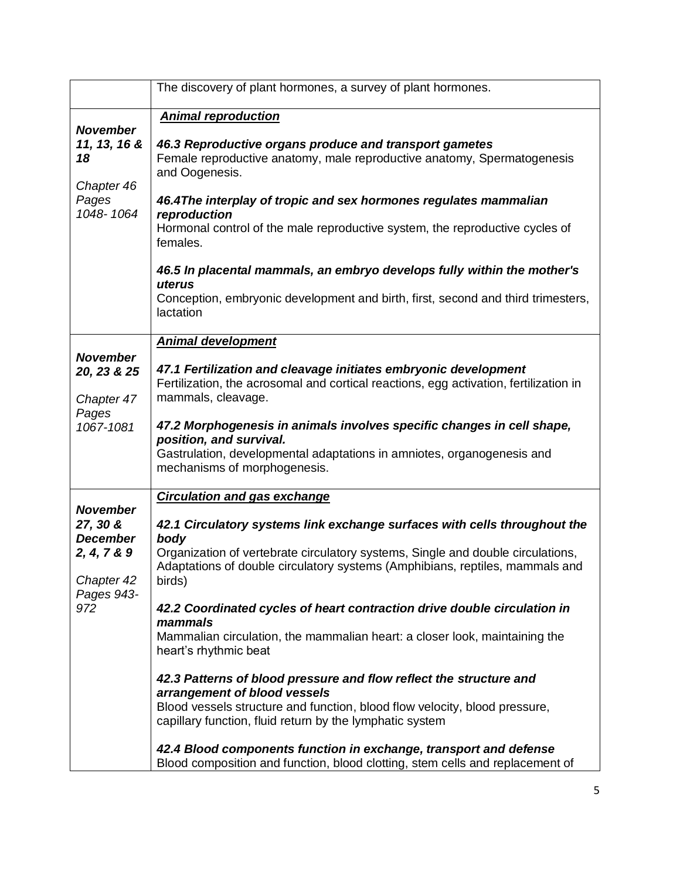|                                                                                                  | The discovery of plant hormones, a survey of plant hormones.                                                                                                                                                                                                                                                                                                                                                                                                                                                                                                                                                                                                                                                                                                                                                                                                                                              |
|--------------------------------------------------------------------------------------------------|-----------------------------------------------------------------------------------------------------------------------------------------------------------------------------------------------------------------------------------------------------------------------------------------------------------------------------------------------------------------------------------------------------------------------------------------------------------------------------------------------------------------------------------------------------------------------------------------------------------------------------------------------------------------------------------------------------------------------------------------------------------------------------------------------------------------------------------------------------------------------------------------------------------|
| <b>November</b><br>11, 13, 16 &<br>18<br>Chapter 46<br>Pages<br>1048-1064                        | <b>Animal reproduction</b><br>46.3 Reproductive organs produce and transport gametes<br>Female reproductive anatomy, male reproductive anatomy, Spermatogenesis<br>and Oogenesis.<br>46.4The interplay of tropic and sex hormones regulates mammalian<br>reproduction<br>Hormonal control of the male reproductive system, the reproductive cycles of<br>females.<br>46.5 In placental mammals, an embryo develops fully within the mother's<br>uterus<br>Conception, embryonic development and birth, first, second and third trimesters,<br>lactation                                                                                                                                                                                                                                                                                                                                                   |
| <b>November</b><br>20, 23 & 25<br>Chapter 47<br>Pages<br>1067-1081                               | <b>Animal development</b><br>47.1 Fertilization and cleavage initiates embryonic development<br>Fertilization, the acrosomal and cortical reactions, egg activation, fertilization in<br>mammals, cleavage.<br>47.2 Morphogenesis in animals involves specific changes in cell shape,<br>position, and survival.<br>Gastrulation, developmental adaptations in amniotes, organogenesis and<br>mechanisms of morphogenesis.                                                                                                                                                                                                                                                                                                                                                                                                                                                                                |
| <b>November</b><br>27, 30 &<br><b>December</b><br>2, 4, 7 & 9<br>Chapter 42<br>Pages 943-<br>972 | <b>Circulation and gas exchange</b><br>42.1 Circulatory systems link exchange surfaces with cells throughout the<br>body<br>Organization of vertebrate circulatory systems, Single and double circulations,<br>Adaptations of double circulatory systems (Amphibians, reptiles, mammals and<br>birds)<br>42.2 Coordinated cycles of heart contraction drive double circulation in<br>mammals<br>Mammalian circulation, the mammalian heart: a closer look, maintaining the<br>heart's rhythmic beat<br>42.3 Patterns of blood pressure and flow reflect the structure and<br>arrangement of blood vessels<br>Blood vessels structure and function, blood flow velocity, blood pressure,<br>capillary function, fluid return by the lymphatic system<br>42.4 Blood components function in exchange, transport and defense<br>Blood composition and function, blood clotting, stem cells and replacement of |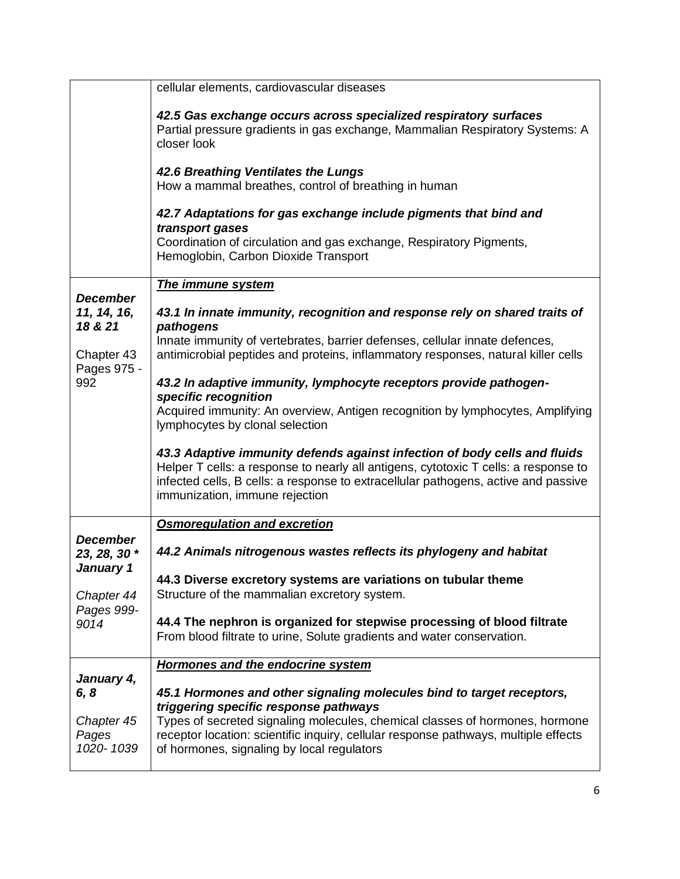|                                                         | cellular elements, cardiovascular diseases                                                                                                                                                                                                                                               |
|---------------------------------------------------------|------------------------------------------------------------------------------------------------------------------------------------------------------------------------------------------------------------------------------------------------------------------------------------------|
|                                                         | 42.5 Gas exchange occurs across specialized respiratory surfaces<br>Partial pressure gradients in gas exchange, Mammalian Respiratory Systems: A<br>closer look                                                                                                                          |
|                                                         | 42.6 Breathing Ventilates the Lungs<br>How a mammal breathes, control of breathing in human                                                                                                                                                                                              |
|                                                         | 42.7 Adaptations for gas exchange include pigments that bind and<br>transport gases<br>Coordination of circulation and gas exchange, Respiratory Pigments,                                                                                                                               |
|                                                         | Hemoglobin, Carbon Dioxide Transport                                                                                                                                                                                                                                                     |
|                                                         | <b>The immune system</b>                                                                                                                                                                                                                                                                 |
| <b>December</b><br>11, 14, 16,<br>18 & 21<br>Chapter 43 | 43.1 In innate immunity, recognition and response rely on shared traits of<br>pathogens<br>Innate immunity of vertebrates, barrier defenses, cellular innate defences,<br>antimicrobial peptides and proteins, inflammatory responses, natural killer cells                              |
| Pages 975 -<br>992                                      | 43.2 In adaptive immunity, lymphocyte receptors provide pathogen-<br>specific recognition<br>Acquired immunity: An overview, Antigen recognition by lymphocytes, Amplifying<br>lymphocytes by clonal selection                                                                           |
|                                                         | 43.3 Adaptive immunity defends against infection of body cells and fluids<br>Helper T cells: a response to nearly all antigens, cytotoxic T cells: a response to<br>infected cells, B cells: a response to extracellular pathogens, active and passive<br>immunization, immune rejection |
|                                                         | <b>Osmoregulation and excretion</b>                                                                                                                                                                                                                                                      |
| <b>December</b><br>23, 28, 30 *<br>January 1            | 44.2 Animals nitrogenous wastes reflects its phylogeny and habitat                                                                                                                                                                                                                       |
| Chapter 44<br>Pages 999-<br>9014                        | 44.3 Diverse excretory systems are variations on tubular theme<br>Structure of the mammalian excretory system.                                                                                                                                                                           |
|                                                         | 44.4 The nephron is organized for stepwise processing of blood filtrate<br>From blood filtrate to urine, Solute gradients and water conservation.                                                                                                                                        |
|                                                         | <b>Hormones and the endocrine system</b>                                                                                                                                                                                                                                                 |
| January 4,<br>6, 8                                      | 45.1 Hormones and other signaling molecules bind to target receptors,<br>triggering specific response pathways                                                                                                                                                                           |
| Chapter 45<br>Pages<br>1020-1039                        | Types of secreted signaling molecules, chemical classes of hormones, hormone<br>receptor location: scientific inquiry, cellular response pathways, multiple effects<br>of hormones, signaling by local regulators                                                                        |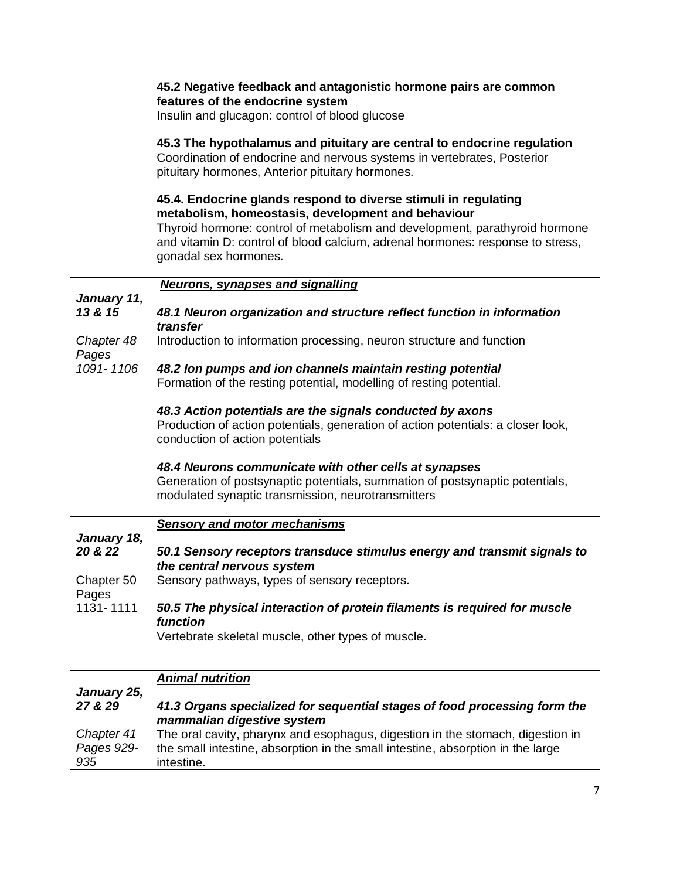|                        | 45.2 Negative feedback and antagonistic hormone pairs are common                                                            |
|------------------------|-----------------------------------------------------------------------------------------------------------------------------|
|                        | features of the endocrine system<br>Insulin and glucagon: control of blood glucose                                          |
|                        |                                                                                                                             |
|                        | 45.3 The hypothalamus and pituitary are central to endocrine regulation                                                     |
|                        | Coordination of endocrine and nervous systems in vertebrates, Posterior<br>pituitary hormones, Anterior pituitary hormones. |
|                        |                                                                                                                             |
|                        | 45.4. Endocrine glands respond to diverse stimuli in regulating<br>metabolism, homeostasis, development and behaviour       |
|                        | Thyroid hormone: control of metabolism and development, parathyroid hormone                                                 |
|                        | and vitamin D: control of blood calcium, adrenal hormones: response to stress,<br>gonadal sex hormones.                     |
|                        |                                                                                                                             |
| January 11,            | <b>Neurons, synapses and signalling</b>                                                                                     |
| 13 & 15                | 48.1 Neuron organization and structure reflect function in information                                                      |
| Chapter 48             | transfer<br>Introduction to information processing, neuron structure and function                                           |
| Pages                  |                                                                                                                             |
| 1091-1106              | 48.2 Ion pumps and ion channels maintain resting potential                                                                  |
|                        | Formation of the resting potential, modelling of resting potential.                                                         |
|                        | 48.3 Action potentials are the signals conducted by axons                                                                   |
|                        | Production of action potentials, generation of action potentials: a closer look,                                            |
|                        | conduction of action potentials                                                                                             |
|                        | 48.4 Neurons communicate with other cells at synapses                                                                       |
|                        | Generation of postsynaptic potentials, summation of postsynaptic potentials,                                                |
|                        | modulated synaptic transmission, neurotransmitters                                                                          |
|                        | <b>Sensory and motor mechanisms</b>                                                                                         |
| January 18,<br>20 & 22 | 50.1 Sensory receptors transduce stimulus energy and transmit signals to                                                    |
|                        | the central nervous system                                                                                                  |
| Chapter 50             | Sensory pathways, types of sensory receptors.                                                                               |
| Pages<br>1131-1111     | 50.5 The physical interaction of protein filaments is required for muscle                                                   |
|                        | function                                                                                                                    |
|                        | Vertebrate skeletal muscle, other types of muscle.                                                                          |
|                        |                                                                                                                             |
|                        | <b>Animal nutrition</b>                                                                                                     |
| January 25,<br>27 & 29 | 41.3 Organs specialized for sequential stages of food processing form the                                                   |
|                        | mammalian digestive system                                                                                                  |
| Chapter 41             | The oral cavity, pharynx and esophagus, digestion in the stomach, digestion in                                              |
| Pages 929-             | the small intestine, absorption in the small intestine, absorption in the large                                             |
| 935                    | intestine.                                                                                                                  |